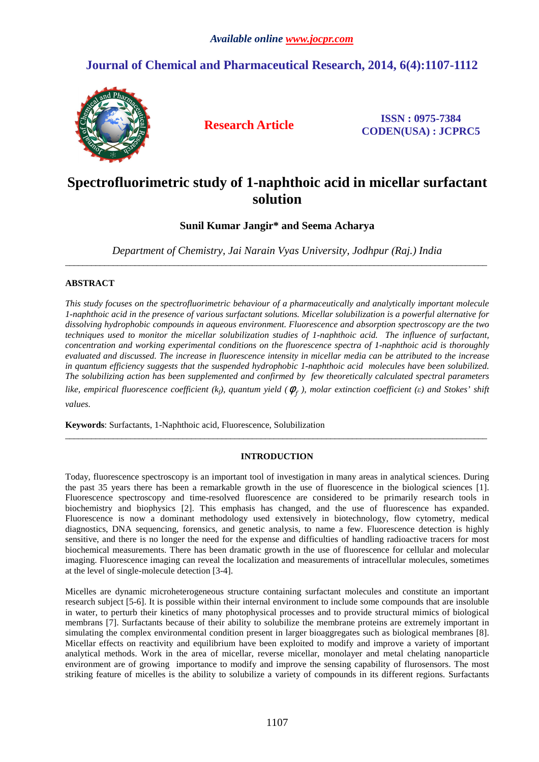## **Journal of Chemical and Pharmaceutical Research, 2014, 6(4):1107-1112**



**Research Article ISSN : 0975-7384 CODEN(USA) : JCPRC5**

# **Spectrofluorimetric study of 1-naphthoic acid in micellar surfactant solution**

**Sunil Kumar Jangir\* and Seema Acharya** 

*Department of Chemistry, Jai Narain Vyas University, Jodhpur (Raj.) India*  \_\_\_\_\_\_\_\_\_\_\_\_\_\_\_\_\_\_\_\_\_\_\_\_\_\_\_\_\_\_\_\_\_\_\_\_\_\_\_\_\_\_\_\_\_\_\_\_\_\_\_\_\_\_\_\_\_\_\_\_\_\_\_\_\_\_\_\_\_\_\_\_\_\_\_\_\_\_\_\_\_\_\_\_\_\_\_\_\_\_\_\_\_\_\_\_\_

## **ABSTRACT**

*This study focuses on the spectrofluorimetric behaviour of a pharmaceutically and analytically important molecule 1-naphthoic acid in the presence of various surfactant solutions. Micellar solubilization is a powerful alternative for dissolving hydrophobic compounds in aqueous environment. Fluorescence and absorption spectroscopy are the two techniques used to monitor the micellar solubilization studies of 1-naphthoic acid. The influence of surfactant, concentration and working experimental conditions on the fluorescence spectra of 1-naphthoic acid is thoroughly evaluated and discussed. The increase in fluorescence intensity in micellar media can be attributed to the increase in quantum efficiency suggests that the suspended hydrophobic 1-naphthoic acid molecules have been solubilized. The solubilizing action has been supplemented and confirmed by few theoretically calculated spectral parameters like, empirical fluorescence coefficient* (*k<sub>f</sub>*), quantum yield ( $\phi_f$ ), molar extinction coefficient ( $\varepsilon$ ) and Stokes' shift

*values.* 

**Keywords**: Surfactants, 1-Naphthoic acid, Fluorescence, Solubilization

## **INTRODUCTION**

\_\_\_\_\_\_\_\_\_\_\_\_\_\_\_\_\_\_\_\_\_\_\_\_\_\_\_\_\_\_\_\_\_\_\_\_\_\_\_\_\_\_\_\_\_\_\_\_\_\_\_\_\_\_\_\_\_\_\_\_\_\_\_\_\_\_\_\_\_\_\_\_\_\_\_\_\_\_\_\_\_\_\_\_\_\_\_\_\_\_\_\_\_\_\_\_\_

Today, fluorescence spectroscopy is an important tool of investigation in many areas in analytical sciences. During the past 35 years there has been a remarkable growth in the use of fluorescence in the biological sciences [1]. Fluorescence spectroscopy and time-resolved fluorescence are considered to be primarily research tools in biochemistry and biophysics [2]. This emphasis has changed, and the use of fluorescence has expanded. Fluorescence is now a dominant methodology used extensively in biotechnology, flow cytometry, medical diagnostics, DNA sequencing, forensics, and genetic analysis, to name a few. Fluorescence detection is highly sensitive, and there is no longer the need for the expense and difficulties of handling radioactive tracers for most biochemical measurements. There has been dramatic growth in the use of fluorescence for cellular and molecular imaging. Fluorescence imaging can reveal the localization and measurements of intracellular molecules, sometimes at the level of single-molecule detection [3-4].

Micelles are dynamic microheterogeneous structure containing surfactant molecules and constitute an important research subject [5-6]. It is possible within their internal environment to include some compounds that are insoluble in water, to perturb their kinetics of many photophysical processes and to provide structural mimics of biological membrans [7]. Surfactants because of their ability to solubilize the membrane proteins are extremely important in simulating the complex environmental condition present in larger bioaggregates such as biological membranes [8]. Micellar effects on reactivity and equilibrium have been exploited to modify and improve a variety of important analytical methods. Work in the area of micellar, reverse micellar, monolayer and metal chelating nanoparticle environment are of growing importance to modify and improve the sensing capability of flurosensors. The most striking feature of micelles is the ability to solubilize a variety of compounds in its different regions. Surfactants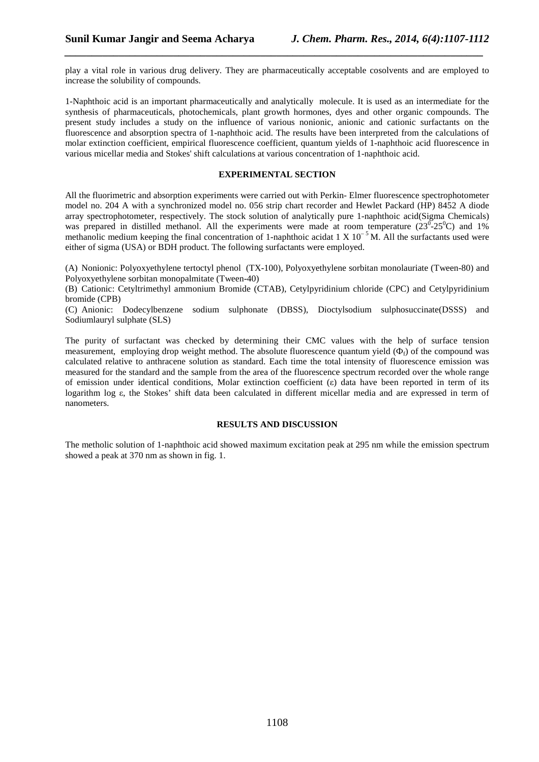play a vital role in various drug delivery. They are pharmaceutically acceptable cosolvents and are employed to increase the solubility of compounds.

*\_\_\_\_\_\_\_\_\_\_\_\_\_\_\_\_\_\_\_\_\_\_\_\_\_\_\_\_\_\_\_\_\_\_\_\_\_\_\_\_\_\_\_\_\_\_\_\_\_\_\_\_\_\_\_\_\_\_\_\_\_\_\_\_\_\_\_\_\_\_\_\_\_\_\_\_\_*

1-Naphthoic acid is an important pharmaceutically and analytically molecule. It is used as an intermediate for the synthesis of pharmaceuticals, photochemicals, plant growth hormones, dyes and other organic compounds. The present study includes a study on the influence of various nonionic, anionic and cationic surfactants on the fluorescence and absorption spectra of 1-naphthoic acid. The results have been interpreted from the calculations of molar extinction coefficient, empirical fluorescence coefficient, quantum yields of 1-naphthoic acid fluorescence in various micellar media and Stokes' shift calculations at various concentration of 1-naphthoic acid.

### **EXPERIMENTAL SECTION**

All the fluorimetric and absorption experiments were carried out with Perkin- Elmer fluorescence spectrophotometer model no. 204 A with a synchronized model no. 056 strip chart recorder and Hewlet Packard (HP) 8452 A diode array spectrophotometer, respectively. The stock solution of analytically pure 1-naphthoic acid(Sigma Chemicals) was prepared in distilled methanol. All the experiments were made at room temperature  $(23^{\circ} - 25^{\circ}C)$  and 1% methanolic medium keeping the final concentration of 1-naphthoic acidat 1 X  $10^{-5}$  M. All the surfactants used were either of sigma (USA) or BDH product. The following surfactants were employed.

(A) Nonionic: Polyoxyethylene tertoctyl phenol (TX-100), Polyoxyethylene sorbitan monolauriate (Tween-80) and Polyoxyethylene sorbitan monopalmitate (Tween-40)

(B) Cationic: Cetyltrimethyl ammonium Bromide (CTAB), Cetylpyridinium chloride (CPC) and Cetylpyridinium bromide (CPB)

(C) Anionic: Dodecylbenzene sodium sulphonate (DBSS), Dioctylsodium sulphosuccinate(DSSS) and Sodiumlauryl sulphate (SLS)

The purity of surfactant was checked by determining their CMC values with the help of surface tension measurement, employing drop weight method. The absolute fluorescence quantum yield  $(\Phi_f)$  of the compound was calculated relative to anthracene solution as standard. Each time the total intensity of fluorescence emission was measured for the standard and the sample from the area of the fluorescence spectrum recorded over the whole range of emission under identical conditions, Molar extinction coefficient (ε) data have been reported in term of its logarithm log ε, the Stokes' shift data been calculated in different micellar media and are expressed in term of nanometers.

### **RESULTS AND DISCUSSION**

The metholic solution of 1-naphthoic acid showed maximum excitation peak at 295 nm while the emission spectrum showed a peak at 370 nm as shown in fig. 1.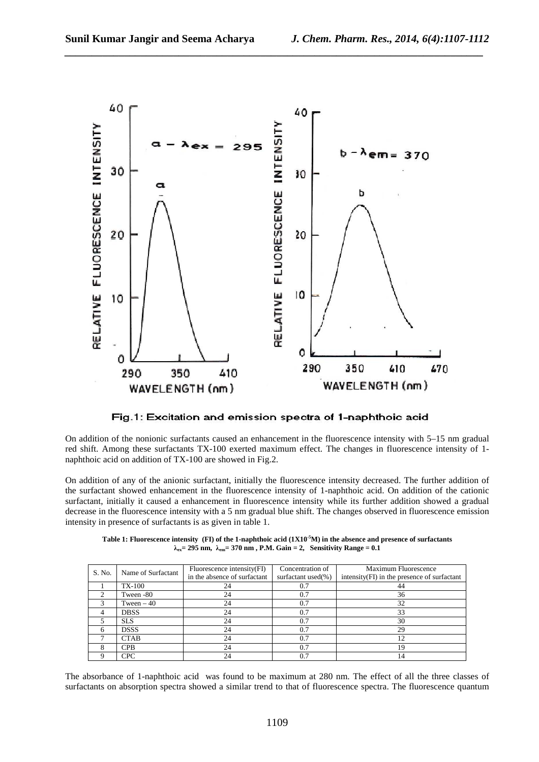

*\_\_\_\_\_\_\_\_\_\_\_\_\_\_\_\_\_\_\_\_\_\_\_\_\_\_\_\_\_\_\_\_\_\_\_\_\_\_\_\_\_\_\_\_\_\_\_\_\_\_\_\_\_\_\_\_\_\_\_\_\_\_\_\_\_\_\_\_\_\_\_\_\_\_\_\_\_*

Fig.1: Excitation and emission spectra of 1-naphthoic acid

On addition of the nonionic surfactants caused an enhancement in the fluorescence intensity with 5–15 nm gradual red shift. Among these surfactants TX-100 exerted maximum effect. The changes in fluorescence intensity of 1 naphthoic acid on addition of TX-100 are showed in Fig.2.

On addition of any of the anionic surfactant, initially the fluorescence intensity decreased. The further addition of the surfactant showed enhancement in the fluorescence intensity of 1-naphthoic acid. On addition of the cationic surfactant, initially it caused a enhancement in fluorescence intensity while its further addition showed a gradual decrease in the fluorescence intensity with a 5 nm gradual blue shift. The changes observed in fluorescence emission intensity in presence of surfactants is as given in table 1.

**Table 1: Fluorescence intensity (FI) of the 1-naphthoic acid (1X10-5M) in the absence and presence of surfactants λex= 295 nm, λem= 370 nm , P.M. Gain = 2, Sensitivity Range = 0.1**

| S. No. | Name of Surfactant | Fluorescence intensity (FI)<br>in the absence of surfactant | Concentration of<br>surfactant used(%) | Maximum Fluorescence<br>intensity(FI) in the presence of surfactant |
|--------|--------------------|-------------------------------------------------------------|----------------------------------------|---------------------------------------------------------------------|
|        | TX-100             | 24                                                          | 0.7                                    | 44                                                                  |
|        | Tween -80          | 24                                                          | 0.7                                    | 36                                                                  |
|        | Tween $-40$        | 24                                                          | 0.7                                    | 32                                                                  |
|        | <b>DBSS</b>        | 24                                                          | 0.7                                    | 33                                                                  |
|        | <b>SLS</b>         | 24                                                          | 0.7                                    | 30                                                                  |
|        | <b>DSSS</b>        | 24                                                          | 0.7                                    | 29                                                                  |
|        | <b>CTAB</b>        | 24                                                          | 0.7                                    | 12                                                                  |
|        | <b>CPB</b>         | 24                                                          | 0.7                                    | 19                                                                  |
|        | <b>CPC</b>         | 24                                                          | 0.7                                    | 14                                                                  |

The absorbance of 1-naphthoic acid was found to be maximum at 280 nm. The effect of all the three classes of surfactants on absorption spectra showed a similar trend to that of fluorescence spectra. The fluorescence quantum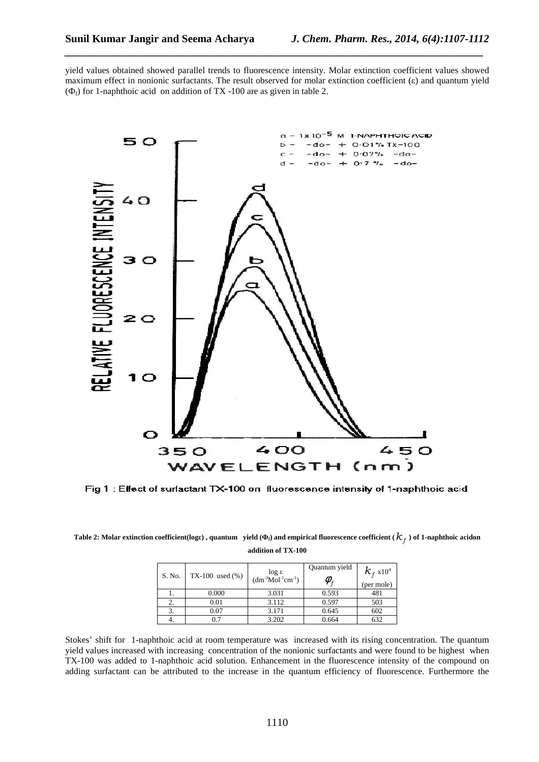yield values obtained showed parallel trends to fluorescence intensity. Molar extinction coefficient values showed maximum effect in nonionic surfactants. The result observed for molar extinction coefficient (ε) and quantum yield  $(\Phi_f)$  for 1-naphthoic acid on addition of TX -100 are as given in table 2.

*\_\_\_\_\_\_\_\_\_\_\_\_\_\_\_\_\_\_\_\_\_\_\_\_\_\_\_\_\_\_\_\_\_\_\_\_\_\_\_\_\_\_\_\_\_\_\_\_\_\_\_\_\_\_\_\_\_\_\_\_\_\_\_\_\_\_\_\_\_\_\_\_\_\_\_\_\_*



Fig.1: Effect of surfactant TX-100 on fluorescence intensity of 1-naphthoic acid

| Table 2: Molar extinction coefficient(loge), quantum yield ( $\Phi_f$ ) and empirical fluorescence coefficient ( $\mathcal{K}_f$ ) of 1-naphthoic acidon |
|----------------------------------------------------------------------------------------------------------------------------------------------------------|
| addition of TX-100                                                                                                                                       |

| S. No. | $TX-100$ used $(\% )$ | $log ε$<br>(dm <sup>-3</sup> Mol <sup>-1</sup> cm <sup>-1</sup> ) | Quantum yield<br>$\omega$ . | $k_{\rm f}$ x10 <sup>4</sup><br>(per mole) |
|--------|-----------------------|-------------------------------------------------------------------|-----------------------------|--------------------------------------------|
|        | 0.000                 | 3.031                                                             | 0.593                       | 481                                        |
| 2.     | 0.01                  | 3.112                                                             | 0.597                       | 503                                        |
|        | 0.07                  | 3.171                                                             | 0.645                       | 602                                        |
|        | 0.7                   | 3.202                                                             | 0.664                       | 632                                        |

Stokes' shift for 1-naphthoic acid at room temperature was increased with its rising concentration. The quantum yield values increased with increasing concentration of the nonionic surfactants and were found to be highest when TX-100 was added to 1-naphthoic acid solution. Enhancement in the fluorescence intensity of the compound on adding surfactant can be attributed to the increase in the quantum efficiency of fluorescence. Furthermore the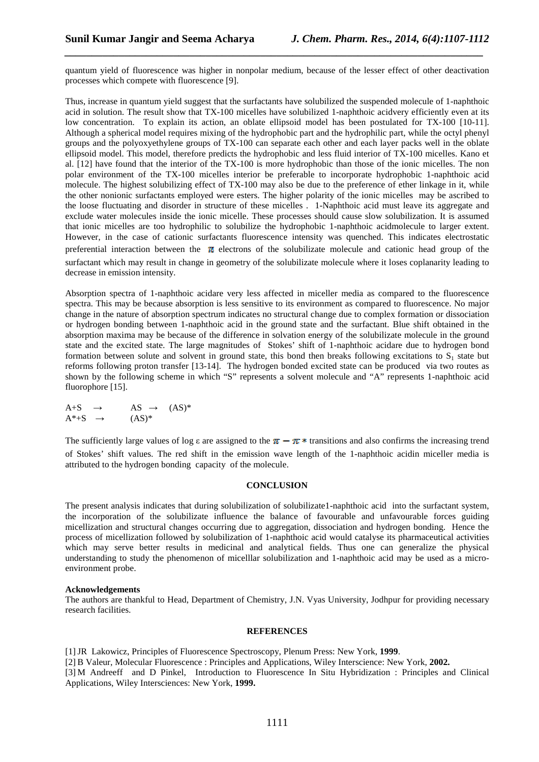quantum yield of fluorescence was higher in nonpolar medium, because of the lesser effect of other deactivation processes which compete with fluorescence [9].

*\_\_\_\_\_\_\_\_\_\_\_\_\_\_\_\_\_\_\_\_\_\_\_\_\_\_\_\_\_\_\_\_\_\_\_\_\_\_\_\_\_\_\_\_\_\_\_\_\_\_\_\_\_\_\_\_\_\_\_\_\_\_\_\_\_\_\_\_\_\_\_\_\_\_\_\_\_*

Thus, increase in quantum yield suggest that the surfactants have solubilized the suspended molecule of 1-naphthoic acid in solution. The result show that TX-100 micelles have solubilized 1-naphthoic acidvery efficiently even at its low concentration. To explain its action, an oblate ellipsoid model has been postulated for TX-100 [10-11]. Although a spherical model requires mixing of the hydrophobic part and the hydrophilic part, while the octyl phenyl groups and the polyoxyethylene groups of TX-100 can separate each other and each layer packs well in the oblate ellipsoid model. This model, therefore predicts the hydrophobic and less fluid interior of TX-100 micelles. Kano et al. [12] have found that the interior of the TX-100 is more hydrophobic than those of the ionic micelles. The non polar environment of the TX-100 micelles interior be preferable to incorporate hydrophobic 1-naphthoic acid molecule. The highest solubilizing effect of TX-100 may also be due to the preference of ether linkage in it, while the other nonionic surfactants employed were esters. The higher polarity of the ionic micelles may be ascribed to the loose fluctuating and disorder in structure of these micelles . 1-Naphthoic acid must leave its aggregate and exclude water molecules inside the ionic micelle. These processes should cause slow solubilization. It is assumed that ionic micelles are too hydrophilic to solubilize the hydrophobic 1-naphthoic acidmolecule to larger extent. However, in the case of cationic surfactants fluorescence intensity was quenched. This indicates electrostatic preferential interaction between the  $\pi$  electrons of the solubilizate molecule and cationic head group of the surfactant which may result in change in geometry of the solubilizate molecule where it loses coplanarity leading to decrease in emission intensity.

Absorption spectra of 1-naphthoic acidare very less affected in miceller media as compared to the fluorescence spectra. This may be because absorption is less sensitive to its environment as compared to fluorescence. No major change in the nature of absorption spectrum indicates no structural change due to complex formation or dissociation or hydrogen bonding between 1-naphthoic acid in the ground state and the surfactant. Blue shift obtained in the absorption maxima may be because of the difference in solvation energy of the solubilizate molecule in the ground state and the excited state. The large magnitudes of Stokes' shift of 1-naphthoic acidare due to hydrogen bond formation between solute and solvent in ground state, this bond then breaks following excitations to  $S_1$  state but reforms following proton transfer [13-14]. The hydrogen bonded excited state can be produced via two routes as shown by the following scheme in which "S" represents a solvent molecule and "A" represents 1-naphthoic acid fluorophore [15].

 $A+S \rightarrow AS \rightarrow (AS)^*$  $A^*+S \rightarrow (AS)^*$ 

The sufficiently large values of log  $\varepsilon$  are assigned to the  $\pi - \pi *$  transitions and also confirms the increasing trend of Stokes' shift values. The red shift in the emission wave length of the 1-naphthoic acidin miceller media is attributed to the hydrogen bonding capacity of the molecule.

#### **CONCLUSION**

The present analysis indicates that during solubilization of solubilizate1-naphthoic acid into the surfactant system, the incorporation of the solubilizate influence the balance of favourable and unfavourable forces guiding micellization and structural changes occurring due to aggregation, dissociation and hydrogen bonding. Hence the process of micellization followed by solubilization of 1-naphthoic acid would catalyse its pharmaceutical activities which may serve better results in medicinal and analytical fields. Thus one can generalize the physical understanding to study the phenomenon of micelllar solubilization and 1-naphthoic acid may be used as a microenvironment probe.

#### **Acknowledgements**

The authors are thankful to Head, Department of Chemistry, J.N. Vyas University, Jodhpur for providing necessary research facilities.

#### **REFERENCES**

[1]JR Lakowicz, Principles of Fluorescence Spectroscopy, Plenum Press: New York, **1999**. [2] B Valeur, Molecular Fluorescence : Principles and Applications, Wiley Interscience: New York, **2002.** 

[3] M Andreeff and D Pinkel, Introduction to Fluorescence In Situ Hybridization : Principles and Clinical Applications, Wiley Intersciences: New York, **1999.**